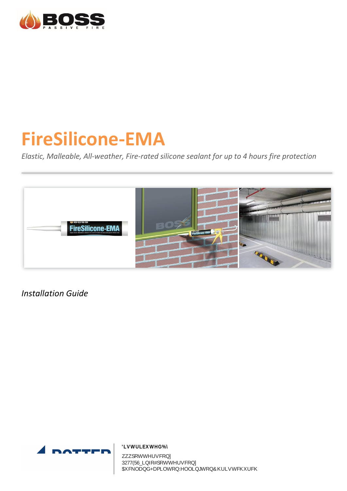

# **FireSilicone-EMA**

*Elastic, Malleable, All-weather, Fire-rated silicone sealant for up to 4 hours fire protection*



*Installation Guide*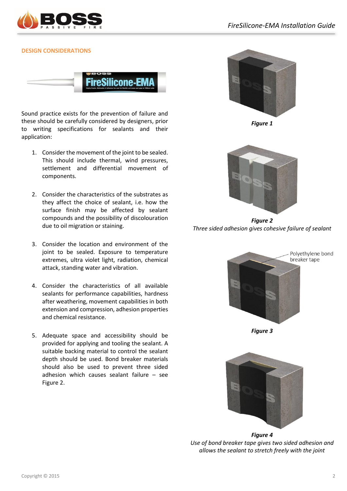

# **DESIGN CONSIDERATIONS**



Sound practice exists for the prevention of failure and these should be carefully considered by designers, prior to writing specifications for sealants and their application:

- 1. Consider the movement of the joint to be sealed. This should include thermal, wind pressures, settlement and differential movement of components.
- 2. Consider the characteristics of the substrates as they affect the choice of sealant, i.e. how the surface finish may be affected by sealant compounds and the possibility of discolouration due to oil migration or staining.
- 3. Consider the location and environment of the joint to be sealed. Exposure to temperature extremes, ultra violet light, radiation, chemical attack, standing water and vibration.
- 4. Consider the characteristics of all available sealants for performance capabilities, hardness after weathering, movement capabilities in both extension and compression, adhesion properties and chemical resistance.
- 5. Adequate space and accessibility should be provided for applying and tooling the sealant. A suitable backing material to control the sealant depth should be used. Bond breaker materials should also be used to prevent three sided adhesion which causes sealant failure – see Figure 2.



*Figure 1*



*Figure 2 Three sided adhesion gives cohesive failure of sealant*



*Figure 3*



*Figure 4 Use of bond breaker tape gives two sided adhesion and allows the sealant to stretch freely with the joint*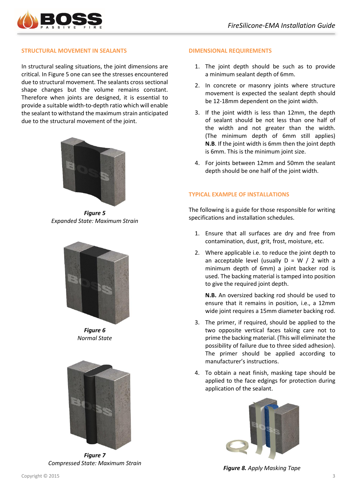

## **STRUCTURAL MOVEMENT IN SEALANTS**

In structural sealing situations, the joint dimensions are critical. In Figure 5 one can see the stresses encountered due to structural movement. The sealants cross sectional shape changes but the volume remains constant. Therefore when joints are designed, it is essential to provide a suitable width-to-depth ratio which will enable the sealant to withstand the maximum strain anticipated due to the structural movement of the joint.



*Figure 5 Expanded State: Maximum Strain*



*Figure 6 Normal State*



*Figure 7 Compressed State: Maximum Strain*

## **DIMENSIONAL REQUIREMENTS**

- 1. The joint depth should be such as to provide a minimum sealant depth of 6mm.
- 2. In concrete or masonry joints where structure movement is expected the sealant depth should be 12-18mm dependent on the joint width.
- 3. If the joint width is less than 12mm, the depth of sealant should be not less than one half of the width and not greater than the width. (The minimum depth of 6mm still applies) **N.B.** If the joint width is 6mm then the joint depth is 6mm. This is the minimum joint size.
- 4. For joints between 12mm and 50mm the sealant depth should be one half of the joint width.

#### **TYPICAL EXAMPLE OF INSTALLATIONS**

The following is a guide for those responsible for writing specifications and installation schedules.

- 1. Ensure that all surfaces are dry and free from contamination, dust, grit, frost, moisture, etc.
- 2. Where applicable i.e. to reduce the joint depth to an acceptable level (usually  $D = W / 2$  with a minimum depth of 6mm) a joint backer rod is used. The backing material is tamped into position to give the required joint depth.

**N.B.** An oversized backing rod should be used to ensure that it remains in position, i.e., a 12mm wide joint requires a 15mm diameter backing rod.

- 3. The primer, if required, should be applied to the two opposite vertical faces taking care not to prime the backing material. (This will eliminate the possibility of failure due to three sided adhesion). The primer should be applied according to manufacturer's instructions.
- 4. To obtain a neat finish, masking tape should be applied to the face edgings for protection during application of the sealant.



*Figure 8. Apply Masking Tape*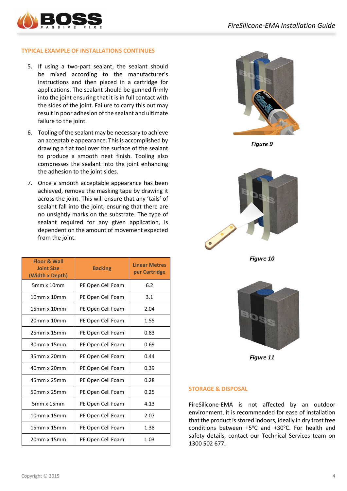

## **TYPICAL EXAMPLE OF INSTALLATIONS CONTINUES**

- 5. If using a two-part sealant, the sealant should be mixed according to the manufacturer's instructions and then placed in a cartridge for applications. The sealant should be gunned firmly into the joint ensuring that it is in full contact with the sides of the joint. Failure to carry this out may result in poor adhesion of the sealant and ultimate failure to the joint.
- 6. Tooling of the sealant may be necessary to achieve an acceptable appearance. This is accomplished by drawing a flat tool over the surface of the sealant to produce a smooth neat finish. Tooling also compresses the sealant into the joint enhancing the adhesion to the joint sides.
- 7. Once a smooth acceptable appearance has been achieved, remove the masking tape by drawing it across the joint. This will ensure that any 'tails' of sealant fall into the joint, ensuring that there are no unsightly marks on the substrate. The type of sealant required for any given application, is dependent on the amount of movement expected from the joint.

| <b>Floor &amp; Wall</b><br><b>Joint Size</b><br>(Width x Depth) | <b>Backing</b>    | <b>Linear Metres</b><br>per Cartridge |
|-----------------------------------------------------------------|-------------------|---------------------------------------|
| $5mm \times 10mm$                                               | PE Open Cell Foam | 6.2                                   |
| $10mm \times 10mm$                                              | PE Open Cell Foam | 3.1                                   |
| $15mm \times 10mm$                                              | PE Open Cell Foam | 2.04                                  |
| 20mm x 10mm                                                     | PE Open Cell Foam | 1.55                                  |
| $25mm \times 15mm$                                              | PE Open Cell Foam | 0.83                                  |
| 30mm x 15mm                                                     | PE Open Cell Foam | 0.69                                  |
| 35mm x 20mm                                                     | PE Open Cell Foam | 0.44                                  |
| 40mm x 20mm                                                     | PE Open Cell Foam | 0.39                                  |
| 45mm x 25mm                                                     | PE Open Cell Foam | 0.28                                  |
| 50mm x 25mm                                                     | PE Open Cell Foam | 0.25                                  |
| $5mm \times 15mm$                                               | PE Open Cell Foam | 4.13                                  |
| $10mm \times 15mm$                                              | PE Open Cell Foam | 2.07                                  |
| 15mm x 15mm                                                     | PE Open Cell Foam | 1.38                                  |
| $20mm \times 15mm$                                              | PE Open Cell Foam | 1.03                                  |



*Figure 9*



*Figure 10*



*Figure 11*

# **STORAGE & DISPOSAL**

FireSilicone-EMA is not affected by an outdoor environment, it is recommended for ease of installation that the product is stored indoors, ideally in dry frost free conditions between  $+5^{\circ}$ C and  $+30^{\circ}$ C. For health and safety details, contact our Technical Services team on 1300 502 677.